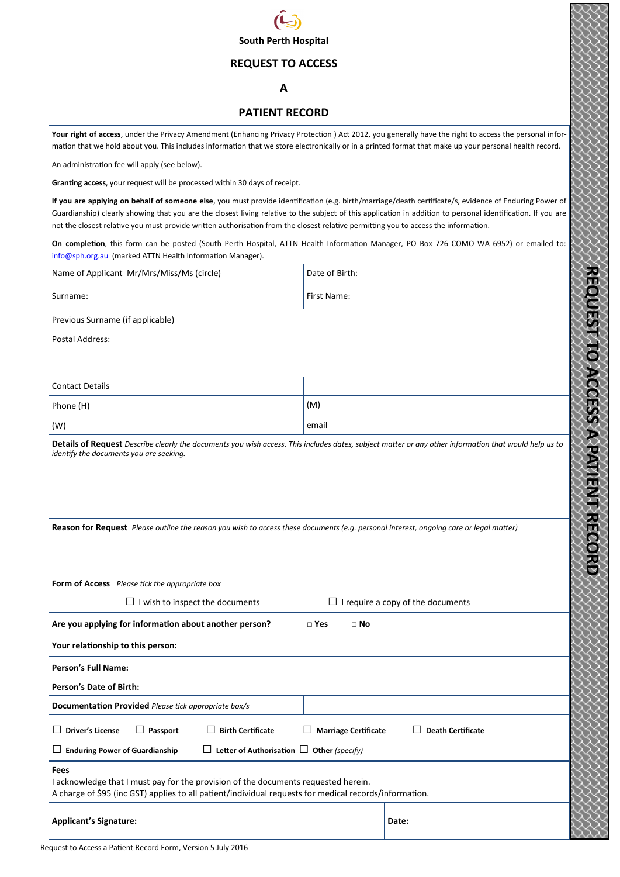

### **REQUEST TO ACCESS**

#### **A**

## **PATIENT RECORD**

**Your right of access**, under the Privacy Amendment (Enhancing Privacy Protection ) Act 2012, you generally have the right to access the personal information that we hold about you. This includes information that we store electronically or in a printed format that make up your personal health record.

An administration fee will apply (see below).

**Granting access**, your request will be processed within 30 days of receipt.

**If you are applying on behalf of someone else**, you must provide identification (e.g. birth/marriage/death certificate/s, evidence of Enduring Power of Guardianship) clearly showing that you are the closest living relative to the subject of this application in addition to personal identification. If you are not the closest relative you must provide written authorisation from the closest relative permitting you to access the information.

**On completion**, this form can be posted (South Perth Hospital, ATTN Health Information Manager, PO Box 726 COMO WA 6952) or emailed to: info@sph.org.au (marked ATTN Health Information Manager).

| Name of Applicant Mr/Mrs/Miss/Ms (circle)                                                                                                                                                            | Date of Birth:              |                                          |  |  |  |
|------------------------------------------------------------------------------------------------------------------------------------------------------------------------------------------------------|-----------------------------|------------------------------------------|--|--|--|
| Surname:                                                                                                                                                                                             | First Name:                 |                                          |  |  |  |
| Previous Surname (if applicable)                                                                                                                                                                     |                             |                                          |  |  |  |
| Postal Address:                                                                                                                                                                                      |                             |                                          |  |  |  |
|                                                                                                                                                                                                      |                             |                                          |  |  |  |
| <b>Contact Details</b>                                                                                                                                                                               |                             |                                          |  |  |  |
| Phone (H)                                                                                                                                                                                            | (M)                         |                                          |  |  |  |
| (W)                                                                                                                                                                                                  | email                       |                                          |  |  |  |
| Details of Request Describe clearly the documents you wish access. This includes dates, subject matter or any other information that would help us to<br>identify the documents you are seeking.     |                             |                                          |  |  |  |
| Reason for Request Please outline the reason you wish to access these documents (e.g. personal interest, ongoing care or legal matter)                                                               |                             |                                          |  |  |  |
| Form of Access Please tick the appropriate box                                                                                                                                                       |                             |                                          |  |  |  |
| $\Box$ I wish to inspect the documents                                                                                                                                                               |                             | $\Box$ I require a copy of the documents |  |  |  |
| Are you applying for information about another person?                                                                                                                                               | $\Box$ Yes<br>$\Box$ No     |                                          |  |  |  |
| Your relationship to this person:                                                                                                                                                                    |                             |                                          |  |  |  |
| <b>Person's Full Name:</b>                                                                                                                                                                           |                             |                                          |  |  |  |
| <b>Person's Date of Birth:</b>                                                                                                                                                                       |                             |                                          |  |  |  |
| Documentation Provided Please tick appropriate box/s                                                                                                                                                 |                             |                                          |  |  |  |
| $\Box$ Driver's License<br><b>Birth Certificate</b><br>Passport                                                                                                                                      | <b>Marriage Certificate</b> | <b>Death Certificate</b>                 |  |  |  |
| $\Box$ Letter of Authorisation $\Box$ Other (specify)<br>$\Box$ Enduring Power of Guardianship                                                                                                       |                             |                                          |  |  |  |
| Fees<br>I acknowledge that I must pay for the provision of the documents requested herein.<br>A charge of \$95 (inc GST) applies to all patient/individual requests for medical records/information. |                             |                                          |  |  |  |
| <b>Applicant's Signature:</b>                                                                                                                                                                        |                             | Date:                                    |  |  |  |